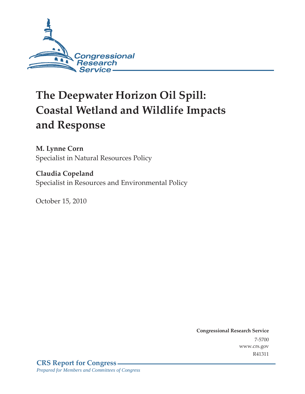

# **The Deepwater Horizon Oil Spill: Coastal Wetland and Wildlife Impacts and Response**

**M. Lynne Corn**  Specialist in Natural Resources Policy

**Claudia Copeland**  Specialist in Resources and Environmental Policy

October 15, 2010

**Congressional Research Service** 7-5700 www.crs.gov R41311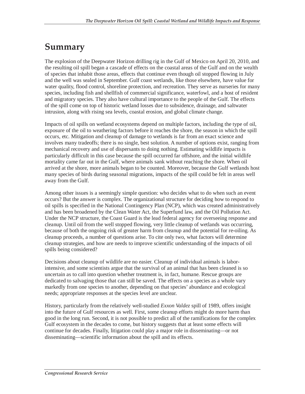## **Summary**

The explosion of the Deepwater Horizon drilling rig in the Gulf of Mexico on April 20, 2010, and the resulting oil spill began a cascade of effects on the coastal areas of the Gulf and on the wealth of species that inhabit those areas, effects that continue even though oil stopped flowing in July and the well was sealed in September. Gulf coast wetlands, like those elsewhere, have value for water quality, flood control, shoreline protection, and recreation. They serve as nurseries for many species, including fish and shellfish of commercial significance, waterfowl, and a host of resident and migratory species. They also have cultural importance to the people of the Gulf. The effects of the spill come on top of historic wetland losses due to subsidence, drainage, and saltwater intrusion, along with rising sea levels, coastal erosion, and global climate change.

Impacts of oil spills on wetland ecosystems depend on multiple factors, including the type of oil, exposure of the oil to weathering factors before it reaches the shore, the season in which the spill occurs, etc. Mitigation and cleanup of damage to wetlands is far from an exact science and involves many tradeoffs; there is no single, best solution. A number of options exist, ranging from mechanical recovery and use of dispersants to doing nothing. Estimating wildlife impacts is particularly difficult in this case because the spill occurred far offshore, and the initial wildlife mortality came far out in the Gulf, where animals sank without reaching the shore. When oil arrived at the shore, more animals began to be counted. Moreover, because the Gulf wetlands host many species of birds during seasonal migrations, impacts of the spill could be felt in areas well away from the Gulf.

Among other issues is a seemingly simple question: who decides what to do when such an event occurs? But the answer is complex. The organizational structure for deciding how to respond to oil spills is specified in the National Contingency Plan (NCP), which was created administratively and has been broadened by the Clean Water Act, the Superfund law, and the Oil Pollution Act. Under the NCP structure, the Coast Guard is the lead federal agency for overseeing response and cleanup. Until oil from the well stopped flowing, very little cleanup of wetlands was occurring, because of both the ongoing risk of greater harm from cleanup and the potential for re-oiling. As cleanup proceeds, a number of questions arise. To cite only two, what factors will determine cleanup strategies, and how are needs to improve scientific understanding of the impacts of oil spills being considered?

Decisions about cleanup of wildlife are no easier. Cleanup of individual animals is laborintensive, and some scientists argue that the survival of an animal that has been cleaned is so uncertain as to call into question whether treatment is, in fact, humane. Rescue groups are dedicated to salvaging those that can still be saved. The effects on a species as a whole vary markedly from one species to another, depending on that species' abundance and ecological needs; appropriate responses at the species level are unclear.

History, particularly from the relatively well-studied *Exxon Valdez* spill of 1989, offers insight into the future of Gulf resources as well. First, some cleanup efforts might do more harm than good in the long run. Second, it is not possible to predict all of the ramifications for the complex Gulf ecosystem in the decades to come, but history suggests that at least some effects will continue for decades. Finally, litigation could play a major role in disseminating—or not disseminating—scientific information about the spill and its effects.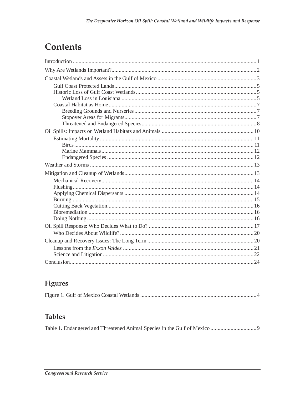## **Contents**

## Figures

|--|--|--|--|

## **Tables**

|--|--|--|--|--|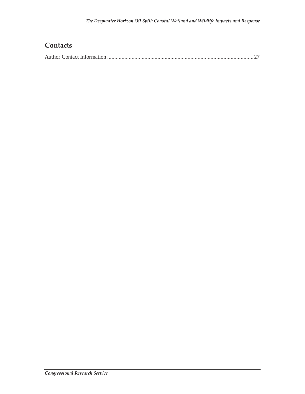## **Contacts**

|--|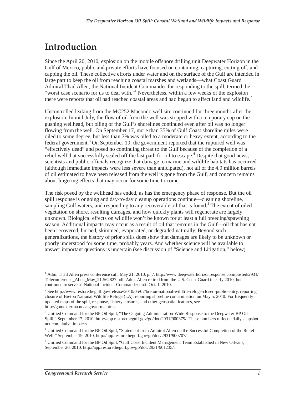## **Introduction**

Since the April 20, 2010, explosion on the mobile offshore drilling unit Deepwater Horizon in the Gulf of Mexico, public and private efforts have focused on containing, capturing, cutting off, and capping the oil. These collective efforts under water and on the surface of the Gulf are intended in large part to keep the oil from reaching coastal marshes and wetlands—what Coast Guard Admiral Thad Allen, the National Incident Commander for responding to the spill, termed the "worst case scenario for us to deal with."<sup>1</sup> Nevertheless, within a few weeks of the explosion there were reports that oil had reached coastal areas and had begun to affect land and wildlife.<sup>2</sup>

Uncontrolled leaking from the MC252 Macondo well site continued for three months after the explosion. In mid-July, the flow of oil from the well was stopped with a temporary cap on the gushing wellhead, but oiling of the Gulf's shorelines continued even after oil was no longer flowing from the well. On September 17, more than 35% of Gulf Coast shoreline miles were oiled to some degree, but less than 7% was oiled to a moderate or heavy extent, according to the federal government.<sup>3</sup> On September 19, the government reported that the ruptured well was "effectively dead" and posed no continuing threat to the Gulf because of the completion of a relief well that successfully sealed off the last path for oil to escape.<sup>4</sup> Despite that good news, scientists and public officials recognize that damage to marine and wildlife habitats has occurred (although immediate impacts were less severe than anticipated), not all of the 4.9 million barrels of oil estimated to have been released from the well is gone from the Gulf, and concern remains about lingering effects that may occur for some time to come.

The risk posed by the wellhead has ended, as has the emergency phase of response. But the oil spill response is ongoing and day-to-day cleanup operations continue—cleaning shoreline, sampling Gulf waters, and responding to any recoverable oil that is found.<sup>5</sup> The extent of oiled vegetation on shore, resulting damages, and how quickly plants will regenerate are largely unknown. Biological effects on wildlife won't be known for at least a full breeding/spawning season. Additional impacts may occur as a result of oil that remains in the Gulf—oil that has not been recovered, burned, skimmed, evaporated, or degraded naturally. Beyond such generalizations, the history of prior spills does show that damages are likely to be unknown or poorly understood for some time, probably years. And whether science will be available to answer important questions is uncertain (see discussion of "Science and Litigation," below).

 1 Adm. Thad Allen press conference call, May 21, 2010, p. 7, http://www.deepwaterhorizonresponse.com/posted/2931/ Teleconference\_Allen\_May\_21.562827.pdf. Adm. Allen retired from the U.S. Coast Guard in early 2010, but continued to serve as National Incident Commander until Oct. 1, 2010.

<sup>&</sup>lt;sup>2</sup> See http://www.restorethegulf.gov/release/2010/05/07/breton-national-wildlife-refuge-closed-public-entry, reporting closure of Breton National Wildlife Refuge (LA), reporting shoreline contamination on May 5, 2010. For frequently updated maps of the spill, response, fishery closures, and other geospatial features, see http://gomex.erma.noaa.gov/erma.html.

<sup>&</sup>lt;sup>3</sup> Unified Command for the BP Oil Spill, "The Ongoing Administration-Wide Response to the Deepwater BP Oil Spill," September 17, 2010, http://app.restorethegulf.gov/go/doc/2931/900375/. These numbers reflect a daily snapshot, not cumulative impacts.

<sup>&</sup>lt;sup>4</sup> Unified Command for the BP Oil Spill, "Statement from Admiral Allen on the Successful Completion of the Relief Well," September 19, 2010, http://app.restorethegulf.gov/go/doc/2931/900707/.

<sup>&</sup>lt;sup>5</sup> Unified Command for the BP Oil Spill, "Gulf Coast Incident Management Team Established in New Orleans," September 20, 2010, http://app.restorethegulf.gov/go/doc/2931/901235/.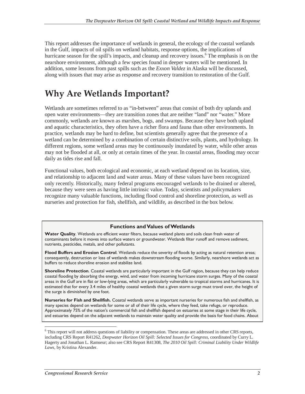This report addresses the importance of wetlands in general, the ecology of the coastal wetlands in the Gulf, impacts of oil spills on wetland habitats, response options, the implications of hurricane season for the spill's impacts, and cleanup and recovery issues.<sup>6</sup> The emphasis is on the nearshore environment, although a few species found in deeper waters will be mentioned. In addition, some lessons from past spills such as the *Exxon Valdez* in Alaska will be discussed, along with issues that may arise as response and recovery transition to restoration of the Gulf.

## **Why Are Wetlands Important?**

Wetlands are sometimes referred to as "in-between" areas that consist of both dry uplands and open water environments—they are transition zones that are neither "land" nor "water." More commonly, wetlands are known as marshes, bogs, and swamps. Because they have both upland and aquatic characteristics, they often have a richer flora and fauna than other environments. In practice, wetlands may be hard to define, but scientists generally agree that the presence of a wetland can be determined by a combination of certain distinctive soils, plants, and hydrology. In different regions, some wetland areas may be continuously inundated by water, while other areas may not be flooded at all, or only at certain times of the year. In coastal areas, flooding may occur daily as tides rise and fall.

Functional values, both ecological and economic, at each wetland depend on its location, size, and relationship to adjacent land and water areas. Many of these values have been recognized only recently. Historically, many federal programs encouraged wetlands to be drained or altered, because they were seen as having little intrinsic value. Today, scientists and policymakers recognize many valuable functions, including flood control and shoreline protection, as well as nurseries and protection for fish, shellfish, and wildlife, as described in the box below.

#### **Functions and Values of Wetlands**

**Water Quality**. Wetlands are efficient water filters, because wetland plants and soils clean fresh water of contaminants before it moves into surface waters or groundwater. Wetlands filter runoff and remove sediment, nutrients, pesticides, metals, and other pollutants.

**Flood Buffers and Erosion Control**. Wetlands reduce the severity of floods by acting as natural retention areas; consequently, destruction or loss of wetlands makes downstream flooding worse. Similarly, nearshore wetlands act as buffers to reduce shoreline erosion and stabilize land.

**Shoreline Protection**. Coastal wetlands are particularly important in the Gulf region, because they can help reduce coastal flooding by absorbing the energy, wind, and water from incoming hurricane storm surges. Many of the coastal areas in the Gulf are in flat or low-lying areas, which are particularly vulnerable to tropical storms and hurricanes. It is estimated that for every 3.4 miles of healthy coastal wetlands that a given storm surge must travel over, the height of the surge is diminished by one foot.

**Nurseries for Fish and Shellfish.** Coastal wetlands serve as important nurseries for numerous fish and shellfish, as many species depend on wetlands for some or all of their life cycle, where they feed, take refuge, or reproduce. Approximately 75% of the nation's commercial fish and shellfish depend on estuaries at some stage in their life cycle, and estuaries depend on the adjacent wetlands to maintain water quality and provide the basis for food chains. About

This report will not address questions of liability or compensation. These areas are addressed in other CRS reports, including CRS Report R41262, *Deepwater Horizon Oil Spill: Selected Issues for Congress*, coordinated by Curry L. Hagerty and Jonathan L. Ramseur; also see CRS Report R41308, *The 2010 Oil Spill: Criminal Liability Under Wildlife Laws*, by Kristina Alexander.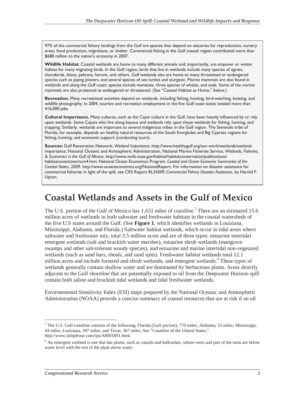97% of the commercial fishery landings from the Gulf are species that depend on estuaries for reproduction, nursery areas, food production, migrations, or shelter. Commercial fishing in the Gulf coastal region contributed more than \$680 million to the nation's economy in 2007.

**Wildlife Habitat**. Coastal wetlands are home to many different animals and, importantly, are stopover or winter habitat for many migrating birds. In the Gulf region, birds that live in wetlands include many species of egrets, shorebirds, ibises, pelicans, herons, and others. Gulf wetlands also are home to many threatened or endangered species such as piping plovers, and several species of sea turtles and sturgeon. Marine mammals are also found in wetlands and along the Gulf coast; species include manatees, three species of whales, and seals. Some of the marine mammals are also protected as endangered or threatened. (See "Coastal Habitat as Home," below.)

**Recreation.** Many recreational activities depend on wetlands, including fishing, hunting, bird-watching, boating, and wildlife photography. In 2004, tourism and recreation employment in the five Gulf coast states totaled more than 416,000 jobs.

**Cultural Importance.** Many cultures, such as the Cajun culture in the Gulf, have been heavily influenced by or rely upon wetlands. Some Cajuns who live along bayous and wetlands rely upon those wetlands for fishing, hunting, and trapping. Similarly, wetlands are important to several indigenous tribes in the Gulf region. The Seminole tribe of Florida, for example, depends on healthy natural resources of the South Everglades and Big Cypress regions for fishing, hunting, and economic support (conducting tours).

**Sources:** Gulf Restoration Network, *Wetland Importance*, http://www.healthygulf.org/our-work/wetlands/wetlandimportance; National Oceanic and Atmospheric Administration, National Marine Fisheries Service, *Wetlands, Fisheries, & Economics in the Gulf of Mexico*, http://www.nmfs.noaa.gov/habitat/habitatconservation/publications/ habitatconections/num4.htm; National Ocean Economics Program. *Coastal and Ocean Economic Summaries of the Coastal States, 2009.* http://www.oceaneconomics.org/NationalReport. For information on disaster assistance for commercial fisheries in light of the spill, see CRS Report RL34209, *Commercial Fishery Disaster Assistance*, by Harold F. Upton.

## **Coastal Wetlands and Assets in the Gulf of Mexico**

The U.S. portion of the Gulf of Mexico has 1,631 miles of coastline.<sup>7</sup> There are an estimated 15.6 million acres of wetlands in both saltwater and freshwater habitats in the coastal watersheds of the five U.S states around the Gulf. (See **Figure 1**, which identifies wetlands in Louisiana, Mississippi, Alabama, and Florida.) Saltwater habitat wetlands, which occur in tidal areas where saltwater and freshwater mix, total 3.5 million acres and are of three types: estuarine intertidal emergent wetlands (salt and brackish water marshes), estuarine shrub wetlands (mangrove swamps and other salt-tolerant woody species), and estuarine and marine intertidal non-vegetated wetlands (such as sand bars, shoals, and sand spits). Freshwater habitat wetlands total 12.1 million acres and include forested and shrub wetlands, and emergent wetlands.<sup>8</sup> These types of wetlands generally contain shallow water and are dominated by herbaceous plants. Areas directly adjacent to the Gulf shoreline that are potentially exposed to oil from the Deepwater Horizon spill contain both saline and brackish tidal wetlands and tidal freshwater wetlands.

Environmental Sensitivity Index (ESI) maps prepared by the National Oceanic and Atmospheric Administration (NOAA) provide a concise summary of coastal resources that are at risk if an oil

 $\overline{a}$ 

 $^7$  The U.S. Gulf coastline consists of the following: Florida (Gulf portion), 770 miles; Alabama, 53 miles; Mississippi, 44 miles; Louisiana, 397 miles; and Texas, 367 miles. See "Coastline of the United States," http://www.infoplease.com/ipa/A0001801.html.

<sup>&</sup>lt;sup>8</sup> An emergent wetland is one that has plants, such as cattails and bullrushes, whose roots and part of the stem are below water level with the rest of the plant above water.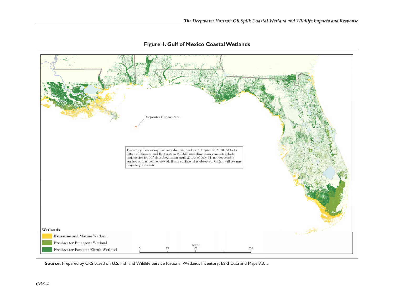

#### **Figure 1. Gulf of Mexico Coastal Wetlands**

**Source:** Prepared by CRS based on U.S. Fish and Wildlife Service National Wetlands Inventory; ESRI Data and Maps 9.3.1.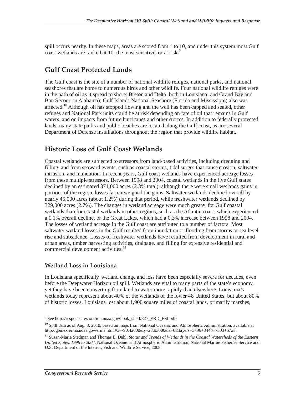spill occurs nearby. In these maps, areas are scored from 1 to 10, and under this system most Gulf coast wetlands are ranked at 10, the most sensitive, or at risk.<sup>9</sup>

### **Gulf Coast Protected Lands**

The Gulf coast is the site of a number of national wildlife refuges, national parks, and national seashores that are home to numerous birds and other wildlife. Four national wildlife refuges were in the path of oil as it spread to shore: Breton and Delta, both in Louisiana, and Grand Bay and Bon Secour, in Alabama); Gulf Islands National Seashore (Florida and Mississippi) also was affected.<sup>10</sup> Although oil has stopped flowing and the well has been capped and sealed, other refuges and National Park units could be at risk depending on fate of oil that remains in Gulf waters, and on impacts from future hurricanes and other storms. In addition to federally protected lands, many state parks and public beaches are located along the Gulf coast, as are several Department of Defense installations throughout the region that provide wildlife habitat.

### **Historic Loss of Gulf Coast Wetlands**

Coastal wetlands are subjected to stressors from land-based activities, including dredging and filling, and from seaward events, such as coastal storms, tidal surges that cause erosion, saltwater intrusion, and inundation. In recent years, Gulf coast wetlands have experienced acreage losses from these multiple stressors. Between 1998 and 2004, coastal wetlands in the five Gulf states declined by an estimated 371,000 acres (2.3% total); although there were small wetlands gains in portions of the region, losses far outweighed the gains. Saltwater wetlands declined overall by nearly 45,000 acres (about 1.2%) during that period, while freshwater wetlands declined by 329,000 acres (2.7%). The changes in wetland acreage were much greater for Gulf coastal wetlands than for coastal wetlands in other regions, such as the Atlantic coast, which experienced a 0.1% overall decline, or the Great Lakes, which had a 0.3% increase between 1998 and 2004. The losses of wetland acreage in the Gulf coast are attributed to a number of factors. Most saltwater wetland losses in the Gulf resulted from inundation or flooding from storms or sea level rise and subsidence. Losses of freshwater wetlands have resulted from development in rural and urban areas, timber harvesting activities, drainage, and filling for extensive residential and commercial development activities.<sup>11</sup>

#### **Wetland Loss in Louisiana**

In Louisiana specifically, wetland change and loss have been especially severe for decades, even before the Deepwater Horizon oil spill. Wetlands are vital to many parts of the state's economy, yet they have been converting from land to water more rapidly than elsewhere. Louisiana's wetlands today represent about 40% of the wetlands of the lower 48 United States, but about 80% of historic losses. Louisiana lost about 1,900 square miles of coastal lands, primarily marshes,

 9 See http://response.restoration.noaa.gov/book\_shelf/827\_ERD\_ESI.pdf.

<sup>&</sup>lt;sup>10</sup> Spill data as of Aug. 3, 2010, based on maps from National Oceanic and Atmospheric Administration, available at http://gomex.erma.noaa.gov/erma.html#x=-90.42000&y=28.03000&z=6&layers=3796+8440+7303+5723.

<sup>&</sup>lt;sup>11</sup> Susan-Marie Stedman and Thomas E. Dahl, *Status and Trends of Wetlands in the Coastal Watersheds of the Eastern United States, 1998 to 2004*, National Oceanic and Atmospheric Administration, National Marine Fisheries Service and U.S. Department of the Interior, Fish and Wildlife Service, 2008.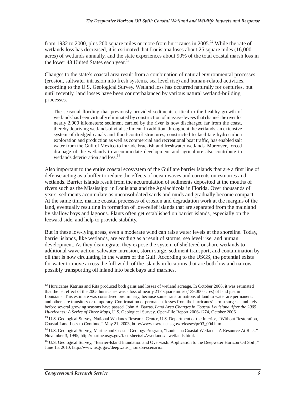from 1932 to 2000, plus 200 square miles or more from hurricanes in  $2005$ .<sup>12</sup> While the rate of wetlands loss has decreased, it is estimated that Louisiana loses about 25 square miles (16,000 acres) of wetlands annually, and the state experiences about 90% of the total coastal marsh loss in the lower 48 United States each year.<sup>13</sup>

Changes to the state's coastal area result from a combination of natural environmental processes (erosion, saltwater intrusion into fresh systems, sea level rise) and human-related activities, according to the U.S. Geological Survey. Wetland loss has occurred naturally for centuries, but until recently, land losses have been counterbalanced by various natural wetland-building processes.

The seasonal flooding that previously provided sediments critical to the healthy growth of wetlands has been virtually eliminated by construction of massive levees that channel the river for nearly 2,000 kilometers; sediment carried by the river is now discharged far from the coast, thereby depriving wetlands of vital sediment. In addition, throughout the wetlands, an extensive system of dredged canals and flood-control structures, constructed to facilitate hydrocarbon exploration and production as well as commercial and recreational boat traffic, has enabled salt water from the Gulf of Mexico to intrude brackish and freshwater wetlands. Moreover, forced drainage of the wetlands to accommodate development and agriculture also contribute to wetlands deterioration and loss.<sup>14</sup>

Also important to the entire coastal ecosystem of the Gulf are barrier islands that are a first line of defense acting as a buffer to reduce the effects of ocean waves and currents on estuaries and wetlands. Barrier islands result from the accumulation of sediments deposited at the mouths of rivers such as the Mississippi in Louisiana and the Apalachicola in Florida. Over thousands of years, sediments accumulate as unconsolidated sands and muds and gradually become compact. At the same time, marine coastal processes of erosion and degradation work at the margins of the land, eventually resulting in formation of low-relief islands that are separated from the mainland by shallow bays and lagoons. Plants often get established on barrier islands, especially on the leeward side, and help to provide stability.

But in these low-lying areas, even a moderate wind can raise water levels at the shoreline. Today, barrier islands, like wetlands, are eroding as a result of storms, sea level rise, and human development. As they disintegrate, they expose the system of sheltered onshore wetlands to additional wave action, saltwater intrusion, storm surge, sediment transport, and contamination by oil that is now circulating in the waters of the Gulf. According to the USGS, the potential exists for water to move across the full width of the islands in locations that are both low and narrow, possibly transporting oil inland into back bays and marshes.<sup>15</sup>

-

 $12$  Hurricanes Katrina and Rita produced both gains and losses of wetland acreage. In October 2006, it was estimated that the net effect of the 2005 hurricanes was a loss of nearly 217 square miles (139,000 acres) of land just in Louisiana. This estimate was considered preliminary, because some transformations of land to water are permanent, and others are transitory or temporary. Confirmation of permanent losses from the hurricanes' storm surges is unlikely before several growing seasons have passed. John A. Barras, *Land Area Changes in Coastal Louisiana After the 2005 Hurricanes: A Series of Three Maps*, U.S. Geological Survey, Open-File Report 2006-1274, October 2006.

<sup>&</sup>lt;sup>13</sup> U.S. Geological Survey, National Wetlands Research Center, U.S. Department of the Interior, "Without Restoration, Coastal Land Loss to Continue," May 21, 2003, http://www.nwrc.usus.gov/releases/pr03\_004.htm.

<sup>&</sup>lt;sup>14</sup> U.S. Geological Survey, Marine and Coastal Geology Program, "Louisiana Coastal Wetlands: A Resource At Risk," November 3, 1995, http://marine.usgs.gov/fact-sheets/LAwetlands/lawetlands.html.

<sup>&</sup>lt;sup>15</sup> U.S. Geological Survey, "Barrier-Island Inundation and Overwash: Application to the Deepwater Horizon Oil Spill," June 15, 2010, http://www.usgs.gov/deepwater\_horizon/scenario/.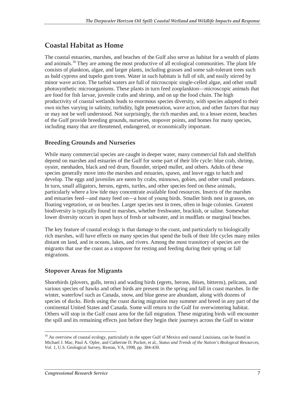### **Coastal Habitat as Home**

The coastal estuaries, marshes, and beaches of the Gulf also serve as habitat for a wealth of plants and animals.<sup>16</sup> They are among the most productive of all ecological communities. The plant life consists of plankton, algae, and larger plants, including grasses and some salt-tolerant trees such as bald cypress and tupelo gum trees. Water in such habitats is full of silt, and easily stirred by minor wave action. The turbid waters are full of microscopic single-celled algae, and other small photosynthetic microorganisms. These plants in turn feed zooplankton—microscopic animals that are food for fish larvae, juvenile crabs and shrimp, and on up the food chain. The high productivity of coastal wetlands leads to enormous species diversity, with species adapted to their own niches varying in salinity, turbidity, light penetration, wave action, and other factors that may or may not be well understood. Not surprisingly, the rich marshes and, to a lesser extent, beaches of the Gulf provide breeding grounds, nurseries, stopover points, and homes for many species, including many that are threatened, endangered, or economically important.

#### **Breeding Grounds and Nurseries**

While many commercial species are caught in deeper water, many commercial fish and shellfish depend on marshes and estuaries of the Gulf for some part of their life cycle: blue crab, shrimp, oyster, menhaden, black and red drum, flounder, striped mullet, and others. Adults of these species generally move into the marshes and estuaries, spawn, and leave eggs to hatch and develop. The eggs and juveniles are eaten by crabs, minnows, gobies, and other small predators. In turn, small alligators, herons, egrets, turtles, and other species feed on these animals, particularly where a low tide may concentrate available food resources. Insects of the marshes and estuaries feed—and many feed on—a host of young birds. Smaller birds nest in grasses, on floating vegetation, or on beaches. Larger species nest in trees, often in huge colonies. Greatest biodiversity is typically found in marshes, whether freshwater, brackish, or saline. Somewhat lower diversity occurs in open bays of fresh or saltwater, and in mudflats or marginal beaches.

The key feature of coastal ecology is that damage to the coast, and particularly to biologically rich marshes, will have effects on many species that spend the bulk of their life cycles many miles distant on land, and in oceans, lakes, and rivers. Among the most transitory of species are the migrants that use the coast as a stopover for resting and feeding during their spring or fall migrations.

#### **Stopover Areas for Migrants**

Shorebirds (plovers, gulls, terns) and wading birds (egrets, herons, ibises, bitterns), pelicans, and various species of hawks and other birds are present in the spring and fall in coast marshes. In the winter, waterfowl such as Canada, snow, and blue geese are abundant, along with dozens of species of ducks. Birds using the coast during migration may summer and breed in any part of the continental United States and Canada. Some will return to the Gulf for overwintering habitat. Others will stop in the Gulf coast area for the fall migration. These migrating birds will encounter the spill and its remaining effects just before they begin their journeys across the Gulf to winter

<sup>-</sup><sup>16</sup> An overview of coastal ecology, particularly in the upper Gulf of Mexico and coastal Louisiana, can be found in Michael J. Mac, Paul A. Opler, and Catherine D. Pucket, et al., *Status and Trends of the Nation's Biological Resources, Vol. 1*, U.S. Geological Survey, Reston, VA, 1998, pp. 384-430.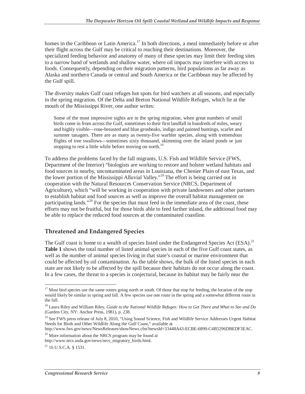homes in the Caribbean or Latin America.<sup>17</sup> In both directions, a meal immediately before or after their flight across the Gulf may be critical to reaching their destinations. Moreover, the specialized feeding behavior and anatomy of many of these species may limit their feeding sites to a narrow band of wetlands and shallow water, where oil impacts may interfere with access to foods. Consequently, depending on their migration patterns, bird populations as far away as Alaska and northern Canada or central and South America or the Caribbean may be affected by the Gulf spill.

The diversity makes Gulf coast refuges hot spots for bird watchers at all seasons, and especially in the spring migration. Of the Delta and Breton National Wildlife Refuges, which lie at the mouth of the Mississippi River, one author writes:

Some of the most impressive sights are in the spring migration, when great numbers of small birds come in from across the Gulf, sometimes to their first landfall in hundreds of miles, weary and highly visible—rose-breasted and blue grosbeaks, indigo and painted buntings, scarlet and summer tanagers. There are as many as twenty-five warbler species, along with tremendous flights of tree swallows—sometimes sixty thousand, skimming over the inland ponds or just stopping to rest a little while before moving on north.<sup>18</sup>

To address the problems faced by the fall migrants, U.S. Fish and Wildlife Service (FWS, Department of the Interior) "biologists are working to restore and bolster wetland habitats and food sources in nearby, uncontaminated areas in Louisiana, the Chenier Plain of east Texas, and the lower portion of the Mississippi Alluvial Valley."<sup>19</sup> The effort is being carried out in cooperation with the Natural Resources Conservation Service (NRCS, Department of Agriculture), which "will be working in cooperation with private landowners and other partners to establish habitat and food sources as well as improve the overall habitat management on participating lands."<sup>20</sup> For the species that must feed in the immediate area of the coast, these efforts may not be fruitful, but for those birds able to feed farther inland, the additional food may be able to replace the reduced food sources at the contaminated coastline.

#### **Threatened and Endangered Species**

The Gulf coast is home to a wealth of species listed under the Endangered Species Act (ESA).<sup>21</sup> **Table 1** shows the total number of listed animal species in each of the five Gulf coast states, as well as the number of animal species living in that state's coastal or marine environment that could be affected by oil contamination. As the table shows, the bulk of the listed species in each state are not likely to be affected by the spill because their habitats do not occur along the coast. In a few cases, the threat to a species is conjectural, because its habitat may be fairly near the

-

<sup>&</sup>lt;sup>17</sup> Most bird species use the same routes going north or south. Of those that stop for feeding, the location of the stop would likely be similar in spring and fall. A few species use one route in the spring and a somewhat different route in the fall.

<sup>18</sup> Laura Riley and William Riley, *Guide to the National Wildlife Refuges: How to Get There and What to See and Do* (Garden City, NY: Anchor Press, 1981), p. 238.

<sup>&</sup>lt;sup>19</sup> See FWS press release of July 8, 2010, "Using Sound Science, Fish and Wildlife Service Addresses Urgent Habitat Needs for Birds and Other Wildlife Along the Gulf Coast," available at

http://www.fws.gov/news/NewsReleases/showNews.cfm?newsId=33448A43-ECBE-6890-C4B5296DBEDF3EAC.

<sup>&</sup>lt;sup>20</sup> More information about the NRCS program may be found at http://www.nrcs.usda.gov/news/nrcs\_migratory\_birds.html.

 $^{21}$  16 U.S.C.A. § 1531.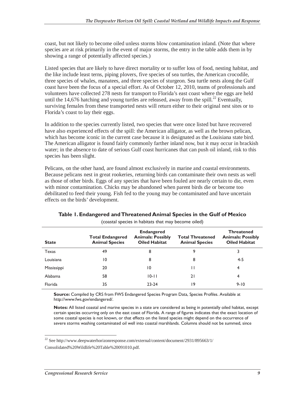coast, but not likely to become oiled unless storms blow contamination inland. (Note that where species are at risk primarily in the event of major storms, the entry in the table adds them in by showing a range of potentially affected species.)

Listed species that are likely to have direct mortality or to suffer loss of food, nesting habitat, and the like include least terns, piping plovers, five species of sea turtles, the American crocodile, three species of whales, manatees, and three species of sturgeon. Sea turtle nests along the Gulf coast have been the focus of a special effort. As of October 12, 2010, teams of professionals and volunteers have collected 278 nests for transport to Florida's east coast where the eggs are held until the 14,676 hatching and young turtles are released, away from the spill.<sup>22</sup> Eventually, surviving females from these transported nests will return either to their original nest sites or to Florida's coast to lay their eggs.

In addition to the species currently listed, two species that were once listed but have recovered have also experienced effects of the spill: the American alligator, as well as the brown pelican, which has become iconic in the current case because it is designated as the Louisiana state bird. The American alligator is found fairly commonly farther inland now, but it may occur in brackish water; in the absence to date of serious Gulf coast hurricanes that can push oil inland, risk to this species has been slight.

Pelicans, on the other hand, are found almost exclusively in marine and coastal environments. Because pelicans nest in great rookeries, returning birds can contaminate their own nests as well as those of other birds. Eggs of any species that have been fouled are nearly certain to die, even with minor contamination. Chicks may be abandoned when parent birds die or become too debilitated to feed their young. Fish fed to the young may be contaminated and have uncertain effects on the birds' development.

| <b>State</b> | <b>Total Endangered</b><br><b>Animal Species</b> | <b>Endangered</b><br><b>Animals: Possibly</b><br><b>Oiled Habitat</b> | <b>Total Threatened</b><br><b>Animal Species</b> | <b>Threatened</b><br><b>Animals: Possibly</b><br><b>Oiled Habitat</b> |
|--------------|--------------------------------------------------|-----------------------------------------------------------------------|--------------------------------------------------|-----------------------------------------------------------------------|
| Texas        | 49                                               | 8                                                                     | 9                                                | 3                                                                     |
| Louisiana    | 10                                               | 8                                                                     | 8                                                | 4-5                                                                   |
| Mississippi  | 20                                               | 10                                                                    |                                                  | 4                                                                     |
| Alabama      | 58                                               | $10 - 11$                                                             | 21                                               | 4                                                                     |
| Florida      | 35                                               | $23 - 24$                                                             | 19                                               | $9 - 10$                                                              |

#### **Table 1. Endangered and Threatened Animal Species in the Gulf of Mexico**  (coastal species in habitats that may become oiled)

**Source:** Compiled by CRS from FWS Endangered Species Program Data, Species Profiles. Available at

http://www.fws.gov/endangered/.

**Notes:** All listed coastal and marine species in a state are considered as being in potentially oiled habitat, except certain species occurring only on the east coast of Florida. A range of figures indicates that the exact location of some coastal species is not known, or that effects on the listed species might depend on the occurrence of severe storms washing contaminated oil well into coastal marshlands. Columns should not be summed, since

 $\frac{1}{2}$  $22$  See http://www.deepwaterhorizonresponse.com/external/content/document/2931/895663/1/ Consolidated%20Wildlife%20Table%20091010.pdf.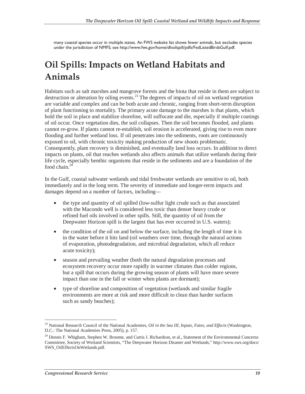many coastal species occur in multiple states. An FWS website list shows fewer animals, but excludes species under the jurisdiction of NMFS; see http://www.fws.gov/home/dhoilspill/pdfs/FedListedBirdsGulf.pdf.

## **Oil Spills: Impacts on Wetland Habitats and Animals**

Habitats such as salt marshes and mangrove forests and the biota that reside in them are subject to destruction or alteration by oiling events.<sup>23</sup> The degrees of impacts of oil on wetland vegetation are variable and complex and can be both acute and chronic, ranging from short-term disruption of plant functioning to mortality. The primary acute damage to the marshes is that plants, which hold the soil in place and stabilize shoreline, will suffocate and die, especially if multiple coatings of oil occur. Once vegetation dies, the soil collapses. Then the soil becomes flooded, and plants cannot re-grow. If plants cannot re-establish, soil erosion is accelerated, giving rise to even more flooding and further wetland loss. If oil penetrates into the sediments, roots are continuously exposed to oil, with chronic toxicity making production of new shoots problematic. Consequently, plant recovery is diminished, and eventually land loss occurs. In addition to direct impacts on plants, oil that reaches wetlands also affects animals that utilize wetlands during their life cycle, especially benthic organisms that reside in the sediments and are a foundation of the food chain.<sup>2</sup>

In the Gulf, coastal saltwater wetlands and tidal freshwater wetlands are sensitive to oil, both immediately and in the long term. The severity of immediate and longer-term impacts and damages depend on a number of factors, including—

- the type and quantity of oil spilled (low-sulfur light crude such as that associated with the Macondo well is considered less toxic than denser heavy crude or refined fuel oils involved in other spills. Still, the quantity of oil from the Deepwater Horizon spill is the largest that has ever occurred in U.S. waters);
- the condition of the oil on and below the surface, including the length of time it is in the water before it hits land (oil weathers over time, through the natural actions of evaporation, photodegradation, and microbial degradation, which all reduce acute toxicity);
- season and prevailing weather (both the natural degradation processes and ecosystem recovery occur more rapidly in warmer climates than colder regions, but a spill that occurs during the growing season of plants will have more severe impact than one in the fall or winter when plants are dormant);
- type of shoreline and composition of vegetation (wetlands and similar fragile environments are more at risk and more difficult to clean than harder surfaces such as sandy beaches);

 $\overline{a}$ 23 National Research Council of the National Academies, *Oil in the Sea III, Inputs, Fates, and Effects* (Washington, D.C.: The National Academies Press, 2005), p. 157.

<sup>&</sup>lt;sup>24</sup> Dennis F. Whigham, Stephen W. Broome, and Curtis J. Richardson, et al., Statement of the Environmental Concerns Committee, Society of Wetland Scientists, "The Deepwater Horizon Disaster and Wetlands," http://www.sws.org/docs/ SWS\_OilEffectsOnWetlands.pdf.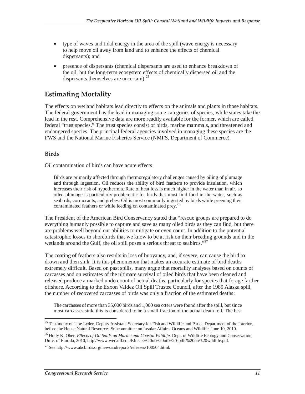- type of waves and tidal energy in the area of the spill (wave energy is necessary to help move oil away from land and to enhance the effects of chemical dispersants); and
- presence of dispersants (chemical dispersants are used to enhance breakdown of the oil, but the long-term ecosystem effects of chemically dispersed oil and the dispersants themselves are uncertain).<sup>25</sup>

### **Estimating Mortality**

The effects on wetland habitats lead directly to effects on the animals and plants in those habitats. The federal government has the lead in managing some categories of species, while states take the lead in the rest. Comprehensive data are more readily available for the former, which are called federal "trust species." The trust species consist of birds, marine mammals, and threatened and endangered species. The principal federal agencies involved in managing these species are the FWS and the National Marine Fisheries Service (NMFS, Department of Commerce).

#### **Birds**

Oil contamination of birds can have acute effects:

Birds are primarily affected through thermoregulatory challenges caused by oiling of plumage and through ingestion. Oil reduces the ability of bird feathers to provide insulation, which increases their risk of hypothermia. Rate of heat loss is much higher in the water than in air, so oiled plumage is particularly problematic for birds that must find food in the water, such as seabirds, cormorants, and grebes. Oil is most commonly ingested by birds while preening their contaminated feathers or while feeding on contaminated prey.<sup>26</sup>

The President of the American Bird Conservancy stated that "rescue groups are prepared to do everything humanly possible to capture and save as many oiled birds as they can find, but there are problems well beyond our abilities to mitigate or even count. In addition to the potential catastrophic losses to shorebirds that we know to be at risk on their breeding grounds and in the wetlands around the Gulf, the oil spill poses a serious threat to seabirds."<sup>27</sup>

The coating of feathers also results in loss of buoyancy, and, if severe, can cause the bird to drown and then sink. It is this phenomenon that makes an accurate estimate of bird deaths extremely difficult. Based on past spills, many argue that mortality analyses based on counts of carcasses and on estimates of the ultimate survival of oiled birds that have been cleaned and released produce a marked undercount of actual deaths, particularly for species that forage farther offshore. According to the Exxon Valdez Oil Spill Trustee Council, after the 1989 Alaska spill, the number of recovered carcasses of birds was only a fraction of the estimated deaths:

The carcasses of more than 35,000 birds and 1,000 sea otters were found after the spill, but since most carcasses sink, this is considered to be a small fraction of the actual death toll. The best

<sup>-</sup><sup>25</sup> Testimony of Jane Lyder, Deputy Assistant Secretary for Fish and Wildlife and Parks, Department of the Interior, before the House Natural Resources Subcommittee on Insular Affairs, Oceans and Wildlife, June 10, 2010.

<sup>&</sup>lt;sup>26</sup> Holly K. Ober, *Effects of Oil Spills on Marine and Coastal Wildlife*, Dept. of Wildlife Ecology and Conservation, Univ. of Florida, 2010, http://www.wec.ufl.edu/Effects%20of%20oil%20spills%20on%20wildlife.pdf.

 $^{27}$  See http://www.abcbirds.org/newsandreports/releases/100504.html.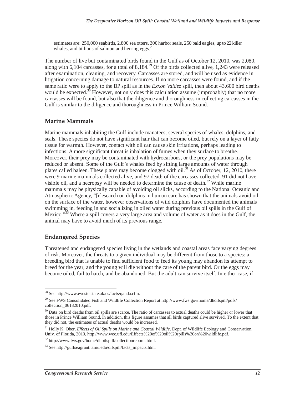estimates are: 250,000 seabirds, 2,800 sea otters, 300 harbor seals, 250 bald eagles, up to 22 killer whales, and billions of salmon and herring eggs. $^{28}$ 

The number of live but contaminated birds found in the Gulf as of October 12, 2010, was 2,080, along with 6,104 carcasses, for a total of 8,184.<sup>29</sup> Of the birds collected alive, 1,243 were released after examination, cleaning, and recovery. Carcasses are stored, and will be used as evidence in litigation concerning damage to natural resources. If no more carcasses were found, and if the same ratio were to apply to the BP spill as in the *Exxon Valdez* spill, then about 43,600 bird deaths would be expected.<sup>30</sup> However, not only does this calculation assume (improbably) that no more carcasses will be found, but also that the diligence and thoroughness in collecting carcasses in the Gulf is similar to the diligence and thoroughness in Prince William Sound.

#### **Marine Mammals**

Marine mammals inhabiting the Gulf include manatees, several species of whales, dolphins, and seals. These species do not have significant hair that can become oiled, but rely on a layer of fatty tissue for warmth. However, contact with oil can cause skin irritations, perhaps leading to infections. A more significant threat is inhalation of fumes when they surface to breathe. Moreover, their prey may be contaminated with hydrocarbons, or the prey populations may be reduced or absent. Some of the Gulf's whales feed by sifting large amounts of water through plates called baleen. These plates may become clogged with oil.<sup>31</sup> As of October, 12, 2010, there were 9 marine mammals collected alive, and 97 dead; of the carcasses collected, 91 did not have visible oil, and a necropsy will be needed to determine the cause of death.<sup>32</sup> While marine mammals may be physically capable of avoiding oil slicks, according to the National Oceanic and Atmospheric Agency, "[r]esearch on dolphins in human care has shown that the animals avoid oil on the surface of the water, however observations of wild dolphins have documented the animals swimming in, feeding in and socializing in oiled water during previous oil spills in the Gulf of Mexico."<sup>33</sup> Where a spill covers a very large area and volume of water as it does in the Gulf, the animal may have to avoid much of its previous range.

#### **Endangered Species**

-

Threatened and endangered species living in the wetlands and coastal areas face varying degrees of risk. Moreover, the threats to a given individual may be different from those to a species: a breeding bird that is unable to find sufficient food to feed its young may abandon its attempt to breed for the year, and the young will die without the care of the parent bird. Or the eggs may become oiled, fail to hatch, and be abandoned. But the adult can survive itself. In either case, if

<sup>&</sup>lt;sup>28</sup> See http://www.evostc.state.ak.us/facts/qanda.cfm.

<sup>&</sup>lt;sup>29</sup> See FWS Consolidated Fish and Wildlife Collection Report at http://www.fws.gov/home/dhoilspill/pdfs/ collection\_06182010.pdf.

<sup>&</sup>lt;sup>30</sup> Data on bird deaths from oil spills are scarce. The ratio of carcasses to actual deaths could be higher or lower that those in Prince William Sound. In addition, this figure assumes that all birds captured alive survived. To the extent that they did not, the estimates of actual deaths would be increased.

<sup>&</sup>lt;sup>31</sup> Holly K. Ober, *Effects of Oil Spills on Marine and Coastal Wildlife*, Dept. of Wildlife Ecology and Conservation, Univ. of Florida, 2010, http://www.wec.ufl.edu/Effects%20of%20oil%20spills%20on%20wildlife.pdf.

<sup>32</sup> http://www.fws.gov/home/dhoilspill/collectionreports.html.

<sup>&</sup>lt;sup>33</sup> See http://gulfseagrant.tamu.edu/oilspill/facts\_impacts.htm.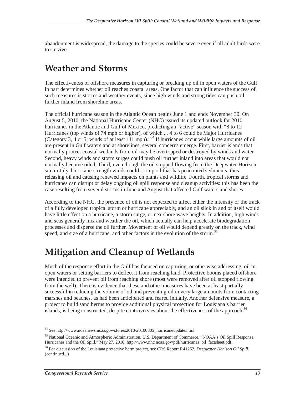abandonment is widespread, the damage to the species could be severe even if all adult birds were to survive.

## **Weather and Storms**

The effectiveness of offshore measures in capturing or breaking up oil in open waters of the Gulf in part determines whether oil reaches coastal areas. One factor that can influence the success of such measures is storms and weather events, since high winds and strong tides can push oil further inland from shoreline areas.

The official hurricane season in the Atlantic Ocean begins June 1 and ends November 30. On August 5, 2010, the National Hurricane Center (NHC) issued its updated outlook for 2010 hurricanes in the Atlantic and Gulf of Mexico, predicting an "active" season with "8 to 12 Hurricanes (top winds of 74 mph or higher), of which ... 4 to 6 could be Major Hurricanes (Category 3, 4 or 5; winds of at least 111 mph)."34 If hurricanes occur while large amounts of oil are present in Gulf waters and at shorelines, several concerns emerge. First, barrier islands that normally protect coastal wetlands from oil may be overtopped or destroyed by winds and water. Second, heavy winds and storm surges could push oil further inland into areas that would not normally become oiled. Third, even though the oil stopped flowing from the Deepwater Horizon site in July, hurricane-strength winds could stir up oil that has penetrated sediments, thus releasing oil and causing renewed impacts on plants and wildlife. Fourth, tropical storms and hurricanes can disrupt or delay ongoing oil spill response and cleanup activities: this has been the case resulting from several storms in June and August that affected Gulf waters and shores.

According to the NHC, the presence of oil is not expected to affect either the intensity or the track of a fully developed tropical storm or hurricane appreciably, and an oil slick in and of itself would have little effect on a hurricane, a storm surge, or nearshore wave heights. In addition, high winds and seas generally mix and weather the oil, which actually can help accelerate biodegradation processes and disperse the oil further. Movement of oil would depend greatly on the track, wind speed, and size of a hurricane, and other factors in the evolution of the storm.<sup>35</sup>

## **Mitigation and Cleanup of Wetlands**

Much of the response effort in the Gulf has focused on capturing, or otherwise addressing, oil in open waters or setting barriers to deflect it from reaching land. Protective booms placed offshore were intended to prevent oil from reaching shore (most were removed after oil stopped flowing from the well). There is evidence that these and other measures have been at least partially successful in reducing the volume of oil and preventing oil in very large amounts from contacting marshes and beaches, as had been anticipated and feared initially. Another defensive measure, a project to build sand berms to provide additional physical protection for Louisiana's barrier islands, is being constructed, despite controversies about the effectiveness of the approach.<sup>36</sup>

<sup>-</sup><sup>34</sup> See http://www.noaanews.noaa.gov/stories2010/20100805\_hurricaneupdate.html.

<sup>&</sup>lt;sup>35</sup> National Oceanic and Atmospheric Administration, U.S. Department of Commerce, "NOAA's Oil Spill Response, Hurricanes and the Oil Spill," May 27, 2010, http://www.nhc.noaa.gov/pdf/hurricanes\_oil\_factsheet.pdf.

<sup>36</sup> For discussion of the Louisiana protective berm project, see CRS Report R41262, *Deepwater Horizon Oil Spill:*  (continued...)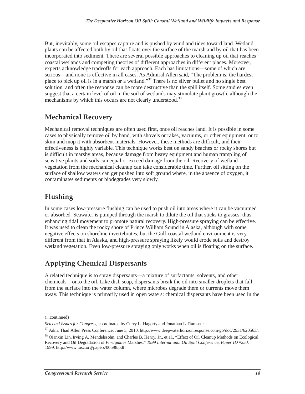But, inevitably, some oil escapes capture and is pushed by wind and tides toward land. Wetland plants can be affected both by oil that floats over the surface of the marsh and by oil that has been incorporated into sediment. There are several possible approaches to cleaning up oil that reaches coastal wetlands and competing theories of different approaches in different places. Moreover, experts acknowledge tradeoffs for each approach. Each has limitations—some of which are serious—and none is effective in all cases. As Admiral Allen said, "The problem is, the hardest place to pick up oil is in a marsh or a wetland."<sup>37</sup> There is no silver bullet and no single best solution, and often the response can be more destructive than the spill itself. Some studies even suggest that a certain level of oil in the soil of wetlands may stimulate plant growth, although the mechanisms by which this occurs are not clearly understood.<sup>38</sup>

## **Mechanical Recovery**

Mechanical removal techniques are often used first, once oil reaches land. It is possible in some cases to physically remove oil by hand, with shovels or rakes, vacuums, or other equipment, or to skim and mop it with absorbent materials. However, these methods are difficult, and their effectiveness is highly variable. This technique works best on sandy beaches or rocky shores but is difficult in marshy areas, because damage from heavy equipment and human trampling of sensitive plants and soils can equal or exceed damage from the oil. Recovery of wetland vegetation from the mechanical cleanup can take considerable time. Further, oil sitting on the surface of shallow waters can get pushed into soft ground where, in the absence of oxygen, it contaminates sediments or biodegrades very slowly.

## **Flushing**

In some cases low-pressure flushing can be used to push oil into areas where it can be vacuumed or absorbed. Seawater is pumped through the marsh to dilute the oil that sticks to grasses, thus enhancing tidal movement to promote natural recovery. High-pressure spraying can be effective. It was used to clean the rocky shore of Prince William Sound in Alaska, although with some negative effects on shoreline invertebrates, but the Gulf coastal wetland environment is very different from that in Alaska, and high-pressure spraying likely would erode soils and destroy wetland vegetation. Even low-pressure spraying only works when oil is floating on the surface.

## **Applying Chemical Dispersants**

A related technique is to spray dispersants—a mixture of surfactants, solvents, and other chemicals—onto the oil. Like dish soap, dispersants break the oil into smaller droplets that fall from the surface into the water column, where microbes degrade them or currents move them away. This technique is primarily used in open waters: chemical dispersants have been used in the

<u>.</u>

<sup>(...</sup>continued)

*Selected Issues for Congress*, coordinated by Curry L. Hagerty and Jonathan L. Ramseur.

<sup>37</sup> Adm. Thad Allen Press Conference, June 5, 2010, http://www.deepwaterhorizonresponse.com/go/doc/2931/620563/.

<sup>38</sup> Qianxin Lin, Irving A. Mendelssohn, and Charles B. Henry, Jr., et al., "Effect of Oil Cleanup Methods on Ecological Recovery and Oil Degradation of *Phragmite*s Marshes," *1999 International Oil Spill Conference, Paper ID #250*, 1999, http://www.iosc.org/papers/00598.pdf.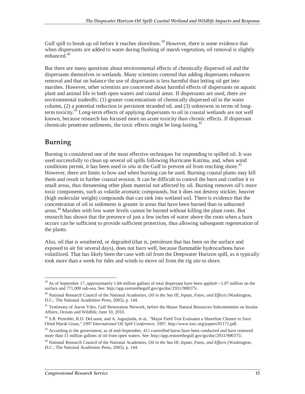Gulf spill to break up oil before it reaches shorelines.<sup>39</sup> However, there is some evidence that when dispersants are added to water during flushing of marsh vegetation, oil removal is slightly enhanced $^{40}$ 

But there are many questions about environmental effects of chemically dispersed oil and the dispersants themselves in wetlands. Many scientists contend that adding dispersants enhances removal and that on balance the use of dispersants is less harmful than letting oil get into marshes. However, other scientists are concerned about harmful effects of dispersants on aquatic plant and animal life in both open waters and coastal areas. If dispersants are used, there are environmental tradeoffs: (1) greater concentrations of chemically dispersed oil in the water column, (2) a potential reduction in persistent stranded oil, and (3) unknowns in terms of longterm toxicity. $^{41}$  Long-term effects of applying dispersants to oil in coastal wetlands are not well known, because research has focused more on acute toxicity than chronic effects. If dispersant chemicals penetrate sediments, the toxic effects might be long-lasting.<sup>42</sup>

### **Burning**

Burning is considered one of the most effective techniques for responding to spilled oil. It was used successfully to clean up several oil spills following Hurricane Katrina, and, when wind conditions permit, it has been used *in situ* in the Gulf to prevent oil from reaching shore.<sup>43</sup> However, there are limits to how and when burning can be used. Burning coastal plants may kill them and result in further coastal erosion. It can be difficult to control the burn and confine it to small areas, thus threatening other plant material not affected by oil. Burning removes oil's more toxic components, such as volatile aromatic compounds, but it does not destroy stickier, heavier (high molecular weight) compounds that can sink into wetland soil. There is evidence that the concentration of oil in sediments is greater in areas that have been burned than in unburned areas.<sup>44</sup> Marshes with low water levels cannot be burned without killing the plant roots. But research has shown that the presence of just a few inches of water above the roots when a burn occurs can be sufficient to provide sufficient protection, thus allowing subsequent regeneration of the plants.

Also, oil that is weathered, or degraded (that is, petroleum that has been on the surface and exposed to air for several days), does not burn well, because flammable hydrocarbons have volatilized. That has likely been the case with oil from the Deepwater Horizon spill, as it typically took more than a week for tides and winds to move oil from the rig site to shore.

<sup>-</sup><sup>39</sup> As of September 17, approximately 1.84 million gallons of total dispersant have been applied—1.07 million on the surface and 771,000 sub-sea. See: http://app.restorethegulf.gov/go/doc/2931/900375/.

<sup>40</sup> National Research Council of the National Academies, *Oil in the Sea III, Inputs, Fates, and Effects* (Washington, D.C.: The National Academies Press, 2005), p. 144.

<sup>&</sup>lt;sup>41</sup> Testimony of Aaron Viles, Gulf Restoration Network, before the House Natural Resources Subcommittee on Insular Affairs, Oceans and Wildlife, June 10, 2010.

<sup>&</sup>lt;sup>42</sup> S.R. Pezeshki, R.D. DeLaune, and A. Jugsujinda, et al., "Major Field Test Evaluates a Shoreline Cleaner to Save Oiled Marsh Grass," *1997 International Oil Spill Conference,* 1997. http://www.iosc.org/papers/01172.pdf.

<sup>&</sup>lt;sup>43</sup> According to the government, as of mid-September, 411 controlled burns have been conducted and have removed more than 11 million gallons of oil from open waters. See: http://app.restorethegulf.gov/go/doc/2931/900375/.

<sup>44</sup> National Research Council of the National Academies, *Oil in the Sea III, Inputs, Fates, and Effects* (Washington, D.C.: The National Academies Press, 2005), p. 144.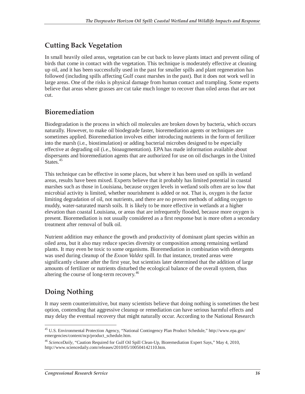## **Cutting Back Vegetation**

In small heavily oiled areas, vegetation can be cut back to leave plants intact and prevent oiling of birds that come in contact with the vegetation. This technique is moderately effective at cleaning up oil, and it has been successfully used in the past for smaller spills and plant regeneration has followed (including spills affecting Gulf coast marshes in the past). But it does not work well in large areas. One of the risks is physical damage from human contact and trampling. Some experts believe that areas where grasses are cut take much longer to recover than oiled areas that are not cut.

### **Bioremediation**

Biodegradation is the process in which oil molecules are broken down by bacteria, which occurs naturally. However, to make oil biodegrade faster, bioremediation agents or techniques are sometimes applied. Bioremediation involves either introducing nutrients in the form of fertilizer into the marsh (i.e., biostimulation) or adding bacterial microbes designed to be especially effective at degrading oil (i.e., bioaugmentation). EPA has made information available about dispersants and bioremediation agents that are authorized for use on oil discharges in the United States.<sup>45</sup>

This technique can be effective in some places, but where it has been used on spills in wetland areas, results have been mixed. Experts believe that it probably has limited potential in coastal marshes such as those in Louisiana, because oxygen levels in wetland soils often are so low that microbial activity is limited, whether nourishment is added or not. That is, oxygen is the factor limiting degradation of oil, not nutrients, and there are no proven methods of adding oxygen to muddy, water-saturated marsh soils. It is likely to be more effective in wetlands at a higher elevation than coastal Louisiana, or areas that are infrequently flooded, because more oxygen is present. Bioremediation is not usually considered as a first response but is more often a secondary treatment after removal of bulk oil.

Nutrient addition may enhance the growth and productivity of dominant plant species within an oiled area, but it also may reduce species diversity or composition among remaining wetland plants. It may even be toxic to some organisms. Bioremediation in combination with detergents was used during cleanup of the *Exxon Valdez* spill. In that instance, treated areas were significantly cleaner after the first year, but scientists later determined that the addition of large amounts of fertilizer or nutrients disturbed the ecological balance of the overall system, thus altering the course of long-term recovery.46

## **Doing Nothing**

It may seem counterintuitive, but many scientists believe that doing nothing is sometimes the best option, contending that aggressive cleanup or remediation can have serious harmful effects and may delay the eventual recovery that might naturally occur. According to the National Research

<sup>-</sup><sup>45</sup> U.S. Environmental Protection Agency, "National Contingency Plan Product Schedule," http://www.epa.gov/ emergencies/content/ncp/product\_schedule.htm.

<sup>46</sup> *ScienceDaily*, "Caution Required for Gulf Oil Spill Clean-Up, Bioremediation Expert Says," May 4, 2010, http://www.sciencedaily.com/releases/2010/05/100504142110.htm.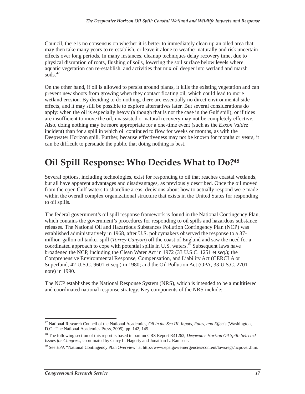Council, there is no consensus on whether it is better to immediately clean up an oiled area that may then take many years to re-establish, or leave it alone to weather naturally and risk uncertain effects over long periods. In many instances, cleanup techniques delay recovery time, due to physical disruption of roots, flushing of soils, lowering the soil surface below levels where aquatic vegetation can re-establish, and activities that mix oil deeper into wetland and marsh  $s$ oils.<sup>47</sup>

On the other hand, if oil is allowed to persist around plants, it kills the existing vegetation and can prevent new shoots from growing when they contact floating oil, which could lead to more wetland erosion. By deciding to do nothing, there are essentially no direct environmental side effects, and it may still be possible to explore alternatives later. But several considerations do apply: when the oil is especially heavy (although that is not the case in the Gulf spill), or if tides are insufficient to move the oil, unassisted or natural recovery may not be completely effective. Also, doing nothing may be more appropriate for a one-time event (such as the *Exxon Valdez* incident) than for a spill in which oil continued to flow for weeks or months, as with the Deepwater Horizon spill. Further, because effectiveness may not be known for months or years, it can be difficult to persuade the public that doing nothing is best.

## **Oil Spill Response: Who Decides What to Do?48**

Several options, including technologies, exist for responding to oil that reaches coastal wetlands, but all have apparent advantages and disadvantages, as previously described. Once the oil moved from the open Gulf waters to shoreline areas, decisions about how to actually respond were made within the overall complex organizational structure that exists in the United States for responding to oil spills.

The federal government's oil spill response framework is found in the National Contingency Plan, which contains the government's procedures for responding to oil spills and hazardous substance releases. The National Oil and Hazardous Substances Pollution Contingency Plan (NCP) was established administratively in 1968, after U.S. policymakers observed the response to a 37 million-gallon oil tanker spill (*Torrey Canyon*) off the coast of England and saw the need for a coordinated approach to cope with potential spills in U.S. waters.<sup> $4\overline{9}$ </sup> Subsequent laws have broadened the NCP, including the Clean Water Act in 1972 (33 U.S.C. 1251 et seq.); the Comprehensive Environmental Response, Compensation, and Liability Act (CERCLA or Superfund, 42 U.S.C. 9601 et seq.) in 1980; and the Oil Pollution Act (OPA, 33 U.S.C. 2701 note) in 1990.

The NCP establishes the National Response System (NRS), which is intended to be a multitiered and coordinated national response strategy. Key components of the NRS include:

<sup>-</sup>47 National Research Council of the National Academies, *Oil in the Sea III, Inputs, Fates, and Effects* (Washington, D.C.: The National Academies Press, 2005), pp. 142, 145.

<sup>48</sup> The following section of this report is based in part on CRS Report R41262, *Deepwater Horizon Oil Spill: Selected Issues for Congress*, coordinated by Curry L. Hagerty and Jonathan L. Ramseur.

<sup>49</sup> See EPA "National Contingency Plan Overview" at http://www.epa.gov/emergencies/content/lawsregs/ncpover.htm.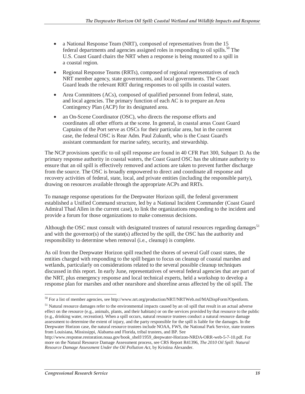- a National Response Team (NRT), composed of representatives from the 15 federal departments and agencies assigned roles in responding to oil spills.<sup>50</sup> The U.S. Coast Guard chairs the NRT when a response is being mounted to a spill in a coastal region.
- Regional Response Teams (RRTs), composed of regional representatives of each NRT member agency, state governments, and local governments. The Coast Guard leads the relevant RRT during responses to oil spills in coastal waters.
- Area Committees (ACs), composed of qualified personnel from federal, state, and local agencies. The primary function of each AC is to prepare an Area Contingency Plan (ACP) for its designated area.
- an On-Scene Coordinator (OSC), who directs the response efforts and coordinates all other efforts at the scene. In general, in coastal areas Coast Guard Captains of the Port serve as OSCs for their particular area, but in the current case, the federal OSC is Rear Adm. Paul Zukunft, who is the Coast Guard's assistant commandant for marine safety, security, and stewardship.

The NCP provisions specific to oil spill response are found in 40 CFR Part 300, Subpart D. As the primary response authority in coastal waters, the Coast Guard OSC has the ultimate authority to ensure that an oil spill is effectively removed and actions are taken to prevent further discharge from the source. The OSC is broadly empowered to direct and coordinate all response and recovery activities of federal, state, local, and private entities (including the responsible party), drawing on resources available through the appropriate ACPs and RRTs.

To manage response operations for the Deepwater Horizon spill, the federal government established a Unified Command structure, led by a National Incident Commander (Coast Guard Admiral Thad Allen in the current case), to link the organizations responding to the incident and provide a forum for those organizations to make consensus decisions.

Although the OSC must consult with designated trustees of natural resources regarding damages<sup>51</sup> and with the governor(s) of the state(s) affected by the spill, the OSC has the authority and responsibility to determine when removal (i.e., cleanup) is complete.

As oil from the Deepwater Horizon spill reached the shores of several Gulf coast states, the entities charged with responding to the spill began to focus on cleanup of coastal marshes and wetlands, particularly on considerations related to the several possible cleanup techniques discussed in this report. In early June, representatives of several federal agencies that are part of the NRT, plus emergency response and local technical experts, held a workshop to develop a response plan for marshes and other nearshore and shoreline areas affected by the oil spill. The

<sup>-</sup><sup>50</sup> For a list of member agencies, see http://www.nrt.org/production/NRT/NRTWeb.nsf/MADispForm?Openform.

<sup>&</sup>lt;sup>51</sup> Natural resource damages refer to the environmental impacts caused by an oil spill that result in an actual adverse effect on the resource (e.g., animals, plants, and their habitats) or on the services provided by that resource to the public (e.g., drinking water, recreation). When a spill occurs, natural resource trustees conduct a natural resource damage assessment to determine the extent of injury, and the party responsible for the spill is liable for the damages. In the Deepwater Horizon case, the natural resource trustees include NOAA, FWS, the National Park Service, state trustees from Louisiana, Mississippi, Alabama and Florida, tribal trustees, and BP. See

http://www.response.restoration.noaa.gov/book\_shelf/1959\_deepwater-Horizon-NRDA-ORR-web-5-7-10.pdf. For more on the Natural Resource Damage Assessment process, see CRS Report R41396, *The 2010 Oil Spill: Natural Resource Damage Assessment Under the Oil Pollution Act*, by Kristina Alexander.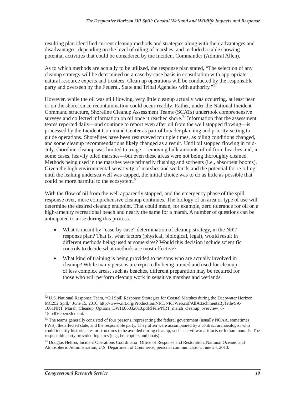resulting plan identified current cleanup methods and strategies along with their advantages and disadvantages, depending on the level of oiling of marshes, and included a table showing potential activities that could be considered by the Incident Commander (Admiral Allen).

As to which methods are actually to be utilized, the response plan stated, "The selection of any cleanup strategy will be determined on a case-by-case basis in consultation with appropriate natural resource experts and trustees. Clean up operations will be conducted by the responsible party and overseen by the Federal, State and Tribal Agencies with authority."<sup>52</sup>

However, while the oil was still flowing, very little cleanup actually was occurring, at least near or on the shore, since recontamination could occur readily. Rather, under the National Incident Command structure, Shoreline Cleanup Assessment Teams (SCATs) undertook comprehensive surveys and collected information on oil once it reached shore.<sup>53</sup> Information that the assessment teams reported daily—and continue to report even after oil from the well stopped flowing—is processed by the Incident Command Center as part of broader planning and priority-setting to guide operations. Shorelines have been resurveyed multiple times, as oiling conditions changed, and some cleanup recommendations likely changed as a result. Until oil stopped flowing in mid-July, shoreline cleanup was limited to triage—removing bulk amounts of oil from beaches and, in some cases, heavily oiled marshes—but even these areas were not being thoroughly cleaned. Methods being used in the marshes were primarily flushing and sorbents (i.e., absorbent booms). Given the high environmental sensitivity of marshes and wetlands and the potential for re-oiling until the leaking undersea well was capped, the initial choice was to do as little as possible that could be more harmful to the ecosystem.<sup>54</sup>

With the flow of oil from the well apparently stopped, and the emergency phase of the spill response over, more comprehensive cleanup continues. The biology of an area or type of use will determine the desired cleanup endpoint. That could mean, for example, zero tolerance for oil on a high-amenity recreational beach and nearly the same for a marsh. A number of questions can be anticipated to arise during this process.

- What is meant by "case-by-case" determination of cleanup strategy, in the NRT response plan? That is, what factors (physical, biological, legal), would result in different methods being used at some sites? Would this decision include scientific controls to decide what methods are most effective?
- What kind of training is being provided to persons who are actually involved in cleanup? While many persons are reportedly being trained and used for cleanup of less complex areas, such as beaches, different preparation may be required for those who will perform cleanup work in sensitive marshes and wetlands.

 $\overline{a}$ 

<sup>&</sup>lt;sup>52</sup> U.S. National Response Team, "Oil Spill Response Strategies for Coastal Marshes during the Deepwater Horizon MC252 Spill," June 15, 2010, http://www.nrt.org/Production/NRT/NRTWeb.nsf/AllAttachmentsByTitle/SA-1061NRT\_Marsh\_Cleanup\_Options\_DWH.06032010.pdf/\$File/NRT\_marsh\_cleanup\_overview\_6- 15.pdf?OpenElement.

<sup>&</sup>lt;sup>53</sup> The teams generally consisted of four persons, representing the federal government (usually NOAA, sometimes FWS), the affected state, and the responsible party. They often were accompanied by a contract archaeologist who could identify historic sites or structures to be avoided during cleanup, such as civil war artifacts or Indian mounds. The responsible party provided logistics (e.g., helicopters and boats).

<sup>54</sup> Douglas Helton, Incident Operations Coordinator, Office of Response and Restoration, National Oceanic and Atmospheric Administration, U.S. Department of Commerce, personal communication, June 24, 2010.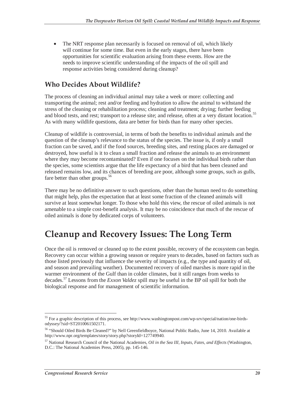• The NRT response plan necessarily is focused on removal of oil, which likely will continue for some time. But even in the early stages, there have been opportunities for scientific evaluation arising from these events. How are the needs to improve scientific understanding of the impacts of the oil spill and response activities being considered during cleanup?

### **Who Decides About Wildlife?**

The process of cleaning an individual animal may take a week or more: collecting and transporting the animal; rest and/or feeding and hydration to allow the animal to withstand the stress of the cleaning or rehabilitation process; cleaning and treatment; drying; further feeding and blood tests, and rest; transport to a release site; and release, often at a very distant location.<sup>55</sup> As with many wildlife questions, data are better for birds than for many other species.

Cleanup of wildlife is controversial, in terms of both the benefits to individual animals and the question of the cleanup's relevance to the status of the species. The issue is, if only a small fraction can be saved, and if the food sources, breeding sites, and resting places are damaged or destroyed, how useful is it to clean a small fraction and release the animals to an environment where they may become recontaminated? Even if one focuses on the individual birds rather than the species, some scientists argue that the life expectancy of a bird that has been cleaned and released remains low, and its chances of breeding are poor, although some groups, such as gulls, fare better than other groups. $56$ 

There may be no definitive answer to such questions, other than the human need to do something that might help, plus the expectation that at least some fraction of the cleaned animals will survive at least somewhat longer. To those who hold this view, the rescue of oiled animals is not amenable to a simple cost-benefit analysis. It may be no coincidence that much of the rescue of oiled animals is done by dedicated corps of volunteers.

## **Cleanup and Recovery Issues: The Long Term**

Once the oil is removed or cleaned up to the extent possible, recovery of the ecosystem can begin. Recovery can occur within a growing season or require years to decades, based on factors such as those listed previously that influence the severity of impacts (e.g., the type and quantity of oil, and season and prevailing weather). Documented recovery of oiled marshes is more rapid in the warmer environment of the Gulf than in colder climates, but it still ranges from weeks to decades.57 Lessons from the *Exxon Valdez* spill may be useful in the BP oil spill for both the biological response and for management of scientific information.

<sup>-</sup><sup>55</sup> For a graphic description of this process, see http://www.washingtonpost.com/wp-srv/special/nation/one-birdsodyssey/?sid=ST2010061502171.

<sup>56 &</sup>quot;Should Oiled Birds Be Cleaned?" by Nell Greenfieldboyce, National Public Radio, June 14, 2010. Available at http://www.npr.org/templates/story/story.php?storyId=127749940.

<sup>57</sup> National Research Council of the National Academies, *Oil in the Sea III, Inputs, Fates, and Effects* (Washington, D.C.: The National Academies Press, 2005), pp. 145-146.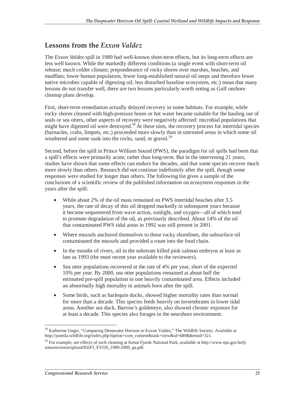### **Lessons from the** *Exxon Valdez*

The *Exxon Valdez* spill in 1989 had well-known short-term effects, but its long-term effects are less well known. While the markedly different conditions (a single event with short-term oil release; much colder climate; preponderance of rocky shores over marshes, beaches, and mudflats; lower human population; fewer long-established natural oil seeps and therefore fewer native microbes capable of digesting oil; less disturbed baseline ecosystem, etc.) mean that many lessons do not transfer well, there are two lessons particularly worth noting as Gulf onshore cleanup plans develop.

First, short-term remediation actually delayed recovery in some habitats. For example, while rocky shores cleaned with high-pressure hoses or hot water became suitable for the hauling out of seals or sea otters, other aspects of recovery were negatively affected: microbial populations that might have digested oil were destroyed.58 At these sites, the recovery process for intertidal species (barnacles, crabs, limpets, etc.) proceeded more slowly than in untreated areas in which some oil weathered and some sank into the rocks, sand, or gravel.<sup>59</sup>

Second, before the spill in Prince William Sound (PWS), the paradigm for oil spills had been that a spill's effects were primarily acute, rather than long-term. But in the intervening 21 years, studies have shown that some effects can endure for decades, and that some species recover much more slowly than others. Research did not continue indefinitely after the spill, though some responses were studied for longer than others. The following list gives a sample of the conclusions of a scientific review of the published information on ecosystem responses in the years after the spill:

- While about 2% of the oil mass remained on PWS intertidal beaches after 3.5 years, the rate of decay of this oil dropped markedly in subsequent years because it became sequestered from wave action, sunlight, and oxygen—all of which tend to promote degradation of the oil, as previously described. About 14% of the oil that contaminated PWS tidal areas in 1992 was still present in 2001.
- Where mussels anchored themselves to these rocky shorelines, the subsurface oil contaminated the mussels and provided a route into the food chain.
- In the mouths of rivers, oil in the substrate killed pink salmon embryos at least as late as 1993 (the most recent year available to the reviewers).
- Sea otter populations recovered at the rate of 4% per year, short of the expected 10% per year. By 2000, sea otter populations remained at about half the estimated pre-spill population in one heavily contaminated area. Effects included an abnormally high mortality in animals born after the spill.
- Some birds, such as harlequin ducks, showed higher mortality rates than normal for more than a decade. This species feeds heavily on invertebrates in lower tidal areas. Another sea duck, Barrow's goldeneye, also showed chronic exposure for at least a decade. This species also forages in the nearshore environment.

<sup>-</sup><sup>58</sup> Katherine Unger, "Comparing Deepwater Horizon to Exxon Valdez," The Wildlife Society. Available at http://joomla.wildlife.org/index.php?option=com\_content&task=view&id=689&Itemid=321.

<sup>59</sup> For example, see effects of such cleaning at Kenai Fjords National Park, available at http://www.nps.gov/kefj/ naturescience/upload/KEFJ\_EVOS\_1989-2009\_qa.pdf.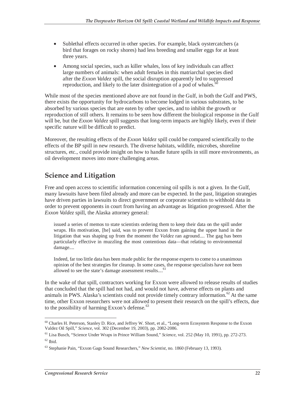- Sublethal effects occurred in other species. For example, black oystercatchers (a bird that forages on rocky shores) had less breeding and smaller eggs for at least three years.
- Among social species, such as killer whales, loss of key individuals can affect large numbers of animals: when adult females in this matriarchal species died after the *Exxon Valdez* spill, the social disruption apparently led to suppressed reproduction, and likely to the later disintegration of a pod of whales.<sup>6</sup>

While most of the species mentioned above are not found in the Gulf, in both the Gulf and PWS, there exists the opportunity for hydrocarbons to become lodged in various substrates, to be absorbed by various species that are eaten by other species, and to inhibit the growth or reproduction of still others. It remains to be seen how different the biological response in the Gulf will be, but the *Exxon Valdez* spill suggests that long-term impacts are highly likely, even if their specific nature will be difficult to predict.

Moreover, the resulting effects of the *Exxon Valdez* spill could be compared scientifically to the effects of the BP spill in new research. The diverse habitats, wildlife, microbes, shoreline structures, etc., could provide insight on how to handle future spills in still more environments, as oil development moves into more challenging areas.

## **Science and Litigation**

Free and open access to scientific information concerning oil spills is not a given. In the Gulf, many lawsuits have been filed already and more can be expected. In the past, litigation strategies have driven parties in lawsuits to direct government or corporate scientists to withhold data in order to prevent opponents in court from having an advantage as litigation progressed. After the *Exxon Valdez* spill, the Alaska attorney general:

issued a series of memos to state scientists ordering them to keep their data on the spill under wraps. His motivation, [he] said, was to prevent Exxon from gaining the upper hand in the litigation that was shaping up from the moment the *Valdez* ran aground.... The gag has been particularly effective in muzzling the most contentious data—that relating to environmental damage....

Indeed, far too little data has been made public for the response experts to come to a unanimous opinion of the best strategies for cleanup. In some cases, the response specialists have not been allowed to see the state's damage assessment results....<sup>61</sup>

In the wake of that spill, contractors working for Exxon were allowed to release results of studies that concluded that the spill had not had, and would not have, adverse effects on plants and animals in PWS. Alaska's scientists could not provide timely contrary information.<sup>62</sup> At the same time, other Exxon researchers were not allowed to present their research on the spill's effects, due to the possibility of harming Exxon's defense. $63$ 

 $\overline{a}$ <sup>60</sup> Charles H. Peterson, Stanley D. Rice, and Jeffrey W. Short, et al., "Long-term Ecosystem Response to the Exxon Valdez Oil Spill," *Science*, vol. 302 (December 19, 2003), pp. 2082-2086. 61 Lisa Busch, "Science Under Wraps in Prince William Sound," *Science*, vol. 252 (May 10, 1991), pp. 272-273.

 $62$  Ibid.

<sup>63</sup> Stephanie Pain, "Exxon Gags Sound Researchers," *New Scientist*, no. 1860 (February 13, 1993).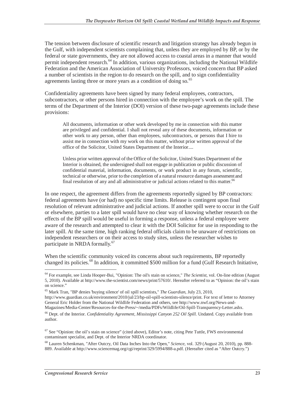The tension between disclosure of scientific research and litigation strategy has already begun in the Gulf, with independent scientists complaining that, unless they are employed by BP, or by the federal or state governments, they are not allowed access to coastal areas in a manner that would permit independent research.<sup>64</sup> In addition, various organizations, including the National Wildlife Federation and the American Association of University Professors, voiced concern that BP asked a number of scientists in the region to do research on the spill, and to sign confidentiality agreements lasting three or more years as a condition of doing so.<sup>65</sup>

Confidentiality agreements have been signed by many federal employees, contractors, subcontractors, or other persons hired in connection with the employee's work on the spill. The terms of the Department of the Interior (DOI) version of these two-page agreements include these provisions:

All documents, information or other work developed by me in connection with this matter are privileged and confidential. I shall not reveal any of these documents, information or other work to any person, other than employees, subcontractors, or persons that I hire to assist me in connection with my work on this matter, without prior written approval of the office of the Solicitor, United States Department of the Interior....

Unless prior written approval of the Office of the Solicitor, United States Department of the Interior is obtained, the undersigned shall not engage in publication or public discussion of confidential material, information, documents, or work product in any forum, scientific, technical or otherwise, prior to the completion of a natural resource damages assessment and final resolution of any and all administrative or judicial actions related to this matter.<sup>66</sup>

In one respect, the agreement differs from the agreements reportedly signed by BP contractors: federal agreements have (or had) no specific time limits. Release is contingent upon final resolution of relevant administrative and judicial actions. If another spill were to occur in the Gulf or elsewhere, parties to a later spill would have no clear way of knowing whether research on the effects of the BP spill would be useful in forming a response, unless a federal employee were aware of the research and attempted to clear it with the DOI Solicitor for use in responding to the later spill. At the same time, high ranking federal officials claim to be unaware of restrictions on independent researchers or on their access to study sites, unless the researcher wishes to participate in NRDA formally.<sup>67</sup>

When the scientific community voiced its concerns about such requirements, BP reportedly changed its policies.<sup>68</sup> In addition, it committed \$500 million for a fund (Gulf Research Initiative,

-

<sup>64</sup> For example, see Linda Hooper-Bui, "Opinion: The oil's stain on science," *The Scientist*, vol. On-line edition (August 5, 2010). Available at http://www.the-scientist.com/news/print/57610/. Hereafter referred to as "Opinion: the oil's stain on science."

<sup>65</sup> Mark Tran, "BP denies 'buying silence' of oil spill scientists," *The Guardian*, July 23, 2010, http://www.guardian.co.uk/environment/2010/jul/23/bp-oil-spill-scientists-silence/print. For text of letter to Attorney General Eric Holder from the National Wildlife Federation and others, see http://www.nwf.org/News-and-Magazines/Media-Center/Resources-for-the-Press/~/media/PDFs/Wildlife/Oil-Spill-Transparency-Letter.ashx.

<sup>66</sup> Dept. of the Interior. *Confidentiality Agreement, Mississippi Canyon 252 Oil Spill*. Undated. Copy available from author.

 $67$  See "Opinion: the oil's stain on science" (cited above), Editor's note, citing Pete Tuttle, FWS environmental contaminant specialist, and Dept. of the Interior NRDA coordinator.

<sup>68</sup> Lauren Schenkman, "After Outcry, Oil Data Inches Into the Open," *Science*, vol. 329 (August 20, 2010), pp. 888- 889. Available at http://www.sciencemag.org/cgi/reprint/329/5994/888-a.pdf. (Hereafter cited as "After Outcry.")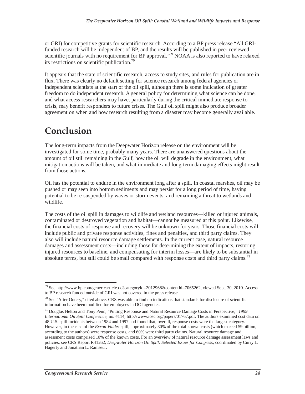or GRI) for competitive grants for scientific research. According to a BP press release "All GRIfunded research will be independent of BP, and the results will be published in peer-reviewed scientific journals with no requirement for BP approval."<sup>69</sup> NOAA is also reported to have relaxed its restrictions on scientific publication.<sup>70</sup>

It appears that the state of scientific research, access to study sites, and rules for publication are in flux. There was clearly no default setting for science research among federal agencies or independent scientists at the start of the oil spill, although there is some indication of greater freedom to do independent research. A general policy for determining what science can be done, and what access researchers may have, particularly during the critical immediate response to crisis, may benefit responders to future crises. The Gulf oil spill might also produce broader agreement on when and how research resulting from a disaster may become generally available.

## **Conclusion**

The long-term impacts from the Deepwater Horizon release on the environment will be investigated for some time, probably many years. There are unanswered questions about the amount of oil still remaining in the Gulf, how the oil will degrade in the environment, what mitigation actions will be taken, and what immediate and long-term damaging effects might result from those actions.

Oil has the potential to endure in the environment long after a spill. In coastal marshes, oil may be pushed or may seep into bottom sediments and may persist for a long period of time, having potential to be re-suspended by waves or storm events, and remaining a threat to wetlands and wildlife.

The costs of the oil spill in damages to wildlife and wetland resources—killed or injured animals, contaminated or destroyed vegetation and habitat—cannot be measured at this point. Likewise, the financial costs of response and recovery will be unknown for years. Those financial costs will include public and private response activities, fines and penalties, and third party claims. They also will include natural resource damage settlements. In the current case, natural resource damages and assessment costs—including those for determining the extent of impacts, restoring injured resources to baseline, and compensating for interim losses—are likely to be substantial in absolute terms, but still could be small compared with response costs and third party claims.<sup>71</sup>

 $\overline{a}$ 69 See http://www.bp.com/genericarticle.do?categoryId=2012968&contentId=7065262, viewed Sept. 30, 2010. Access to BP research funded outside of GRI was not covered in the press release.

 $70$  See "After Outcry," cited above. CRS was able to find no indications that standards for disclosure of scientific information have been modified for employees in DOI agencies.

<sup>71</sup> Douglas Helton and Tony Penn, "Putting Response and Natural Resource Damage Costs in Perspective," *1999 International Oil Spill Conference*, no. #114, http://www.iosc.org/papers/01767.pdf. The authors examined cost data on 48 U.S. spill incidents between 1984 and 1997 and found that, overall, response costs were the largest category. However, in the case of the *Exxon Valdez* spill, approximately 30% of the total known costs (which exceed \$9 billion, according to the authors) were response costs, and 60% were third party claims. Natural resource damage and assessment costs comprised 10% of the known costs. For an overview of natural resource damage assessment laws and policies, see CRS Report R41262, *Deepwater Horizon Oil Spill: Selected Issues for Congress*, coordinated by Curry L. Hagerty and Jonathan L. Ramseur.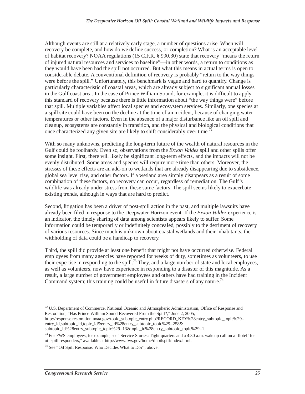Although events are still at a relatively early stage, a number of questions arise. When will recovery be complete, and how do we define success, or completion? What is an acceptable level of habitat recovery? NOAA regulations (15 C.F.R. § 990.30) state that recovery "means the return of injured natural resources and services to baseline"—in other words, a return to conditions as they would have been had the spill not occurred. But what this means in actual terms is open to considerable debate. A conventional definition of recovery is probably "return to the way things were before the spill." Unfortunately, this benchmark is vague and hard to quantify. Change is particularly characteristic of coastal areas, which are already subject to significant annual losses in the Gulf coast area. In the case of Prince William Sound, for example, it is difficult to apply this standard of recovery because there is little information about "the way things were" before that spill. Multiple variables affect local species and ecosystem services. Similarly, one species at a spill site could have been on the decline at the time of an incident, because of changing water temperatures or other factors. Even in the absence of a major disturbance like an oil spill and cleanup, ecosystems are constantly in transition, and the physical and biological conditions that once characterized any given site are likely to shift considerably over time.<sup>72</sup>

With so many unknowns, predicting the long-term future of the wealth of natural resources in the Gulf could be foolhardy. Even so, observations from the *Exxon Valdez* spill and other spills offer some insight. First, there will likely be significant long-term effects, and the impacts will not be evenly distributed. Some areas and species will require more time than others. Moreover, the stresses of these effects are an add-on to wetlands that are already disappearing due to subsidence, global sea level rise, and other factors. If a wetland area simply disappears as a result of some combination of these factors, no recovery can occur, regardless of remediation. The Gulf's wildlife was already under stress from these same factors. The spill seems likely to exacerbate existing trends, although in ways that are hard to predict.

Second, litigation has been a driver of post-spill action in the past, and multiple lawsuits have already been filed in response to the Deepwater Horizon event. If the *Exxon Valdez* experience is an indicator, the timely sharing of data among scientists appears likely to suffer. Some information could be temporarily or indefinitely concealed, possibly to the detriment of recovery of various resources. Since much is unknown about coastal wetlands and their inhabitants, the withholding of data could be a handicap to recovery.

Third, the spill did provide at least one benefit that might not have occurred otherwise. Federal employees from many agencies have reported for weeks of duty, sometimes as volunteers, to use their expertise in responding to the spill.<sup>73</sup> They, and a large number of state and local employees, as well as volunteers, now have experience in responding to a disaster of this magnitude. As a result, a large number of government employees and others have had training in the Incident Command system; this training could be useful in future disasters of any nature.<sup>74</sup>

http://response.restoration.noaa.gov/topic\_subtopic\_entry.php?RECORD\_KEY%28entry\_subtopic\_topic%29= entry\_id,subtopic\_id,topic\_id&entry\_id%28entry\_subtopic\_topic%29=258&

subtopic\_id%28entry\_subtopic\_topic%29=13&topic\_id%28entry\_subtopic\_topic%29=1.

 $\overline{a}$ <sup>72</sup> U.S. Department of Commerce, National Oceanic and Atmospheric Administration, Office of Response and Restoration, "Has Prince William Sound Recovered From the Spill?," June 2, 2005,

<sup>&</sup>lt;sup>73</sup> For FWS employees, for example, see "Service Stories: Tight quarters and a 4:30 a.m. wakeup call on a 'flotel' for oil spill responders," available at http://www.fws.gov/home/dhoilspill/index.html.

 $74$  See "Oil Spill Response: Who Decides What to Do?", above.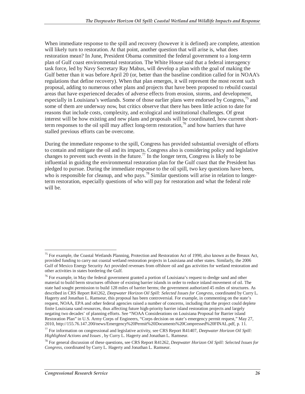When immediate response to the spill and recovery (however it is defined) are complete, attention will likely turn to restoration. At that point, another question that will arise is, what does restoration mean? In June, President Obama committed the federal government to a long-term plan of Gulf coast environmental restoration. The White House said that a federal interagency task force, led by Navy Secretary Ray Mabus, will develop a plan with the goal of making the Gulf better than it was before April 20 (or, better than the baseline condition called for in NOAA's regulations that define recovery). When that plan emerges, it will represent the most recent such proposal, adding to numerous other plans and projects that have been proposed to rebuild coastal areas that have experienced decades of adverse effects from erosion, storms, and development, especially in Louisiana's wetlands. Some of those earlier plans were endorsed by Congress,<sup>75</sup> and some of them are underway now, but critics observe that there has been little action to date for reasons that include costs, complexity, and ecological and institutional challenges. Of great interest will be how existing and new plans and proposals will be coordinated, how current shortterm responses to the oil spill may affect long-term restoration,<sup>76</sup> and how barriers that have stalled previous efforts can be overcome.

During the immediate response to the spill, Congress has provided substantial oversight of efforts to contain and mitigate the oil and its impacts. Congress also is considering policy and legislative changes to prevent such events in the future.<sup>77</sup> In the longer term, Congress is likely to be influential in guiding the environmental restoration plan for the Gulf coast that the President has pledged to pursue. During the immediate response to the oil spill, two key questions have been, who is responsible for cleanup, and who pays.<sup>78</sup> Similar questions will arise in relation to longerterm restoration, especially questions of who will pay for restoration and what the federal role will be.

-

<sup>&</sup>lt;sup>75</sup> For example, the Coastal Wetlands Planning, Protection and Restoration Act of 1990, also known as the Breaux Act, provided funding to carry out coastal wetland restoration projects in Louisiana and other states. Similarly, the 2006 Gulf of Mexico Energy Security Act provided revenues from offshore oil and gas activities for wetland restoration and other activities in states bordering the Gulf.

<sup>&</sup>lt;sup>76</sup> For example, in May the federal government granted a portion of Louisiana's request to dredge sand and other material to build berm structures offshore of existing barrier islands in order to reduce inland movement of oil. The state had sought permission to build 128 miles of barrier berms; the government authorized 45 miles of structures. As described in CRS Report R41262, *Deepwater Horizon Oil Spill: Selected Issues for Congress*, coordinated by Curry L. Hagerty and Jonathan L. Ramseur, this proposal has been controversial. For example, in commenting on the state's request, NOAA, EPA and other federal agencies raised a number of concerns, including that the project could deplete finite Louisiana sand resources, thus affecting future high-priority barrier island restoration projects and largely negating two decades' of planning efforts. See "NOAA Considerations on Louisiana Proposal for Barrier island Restoration Plan" in U.S. Army Corps of Engineers, "Corps decision on state's emergency permit request," May 27, 2010, http://155.76.147.200/news/Emergency%20Permit%20Documents%20Compressed%20FINAL.pdf, p. 11.

<sup>77</sup> For information on congressional and legislative activity, see CRS Report R41407, *Deepwater Horizon Oil Spill: Highlighted Actions and Issues* , by Curry L. Hagerty and Jonathan L. Ramseur.

<sup>78</sup> For general discussion of these questions, see CRS Report R41262, *Deepwater Horizon Oil Spill: Selected Issues for Congress*, coordinated by Curry L. Hagerty and Jonathan L. Ramseur.